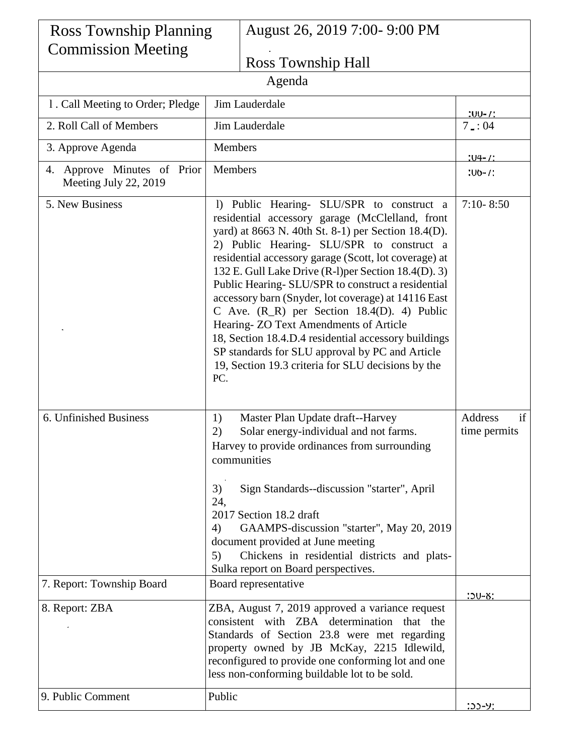| <b>Ross Township Planning</b>                        |                                                                                                                                                                                                                                                                                                                                                                                                                                                                                                                                                                                                                                                                                                  | August 26, 2019 7:00- 9:00 PM                                                                                                                                                                                                                                                                                                                                                                 |                               |  |  |
|------------------------------------------------------|--------------------------------------------------------------------------------------------------------------------------------------------------------------------------------------------------------------------------------------------------------------------------------------------------------------------------------------------------------------------------------------------------------------------------------------------------------------------------------------------------------------------------------------------------------------------------------------------------------------------------------------------------------------------------------------------------|-----------------------------------------------------------------------------------------------------------------------------------------------------------------------------------------------------------------------------------------------------------------------------------------------------------------------------------------------------------------------------------------------|-------------------------------|--|--|
| <b>Commission Meeting</b>                            |                                                                                                                                                                                                                                                                                                                                                                                                                                                                                                                                                                                                                                                                                                  | Ross Township Hall                                                                                                                                                                                                                                                                                                                                                                            |                               |  |  |
| Agenda                                               |                                                                                                                                                                                                                                                                                                                                                                                                                                                                                                                                                                                                                                                                                                  |                                                                                                                                                                                                                                                                                                                                                                                               |                               |  |  |
| 1. Call Meeting to Order; Pledge                     |                                                                                                                                                                                                                                                                                                                                                                                                                                                                                                                                                                                                                                                                                                  | Jim Lauderdale                                                                                                                                                                                                                                                                                                                                                                                |                               |  |  |
| 2. Roll Call of Members                              | Jim Lauderdale                                                                                                                                                                                                                                                                                                                                                                                                                                                                                                                                                                                                                                                                                   |                                                                                                                                                                                                                                                                                                                                                                                               | $100 - T$<br>7:04             |  |  |
| 3. Approve Agenda                                    | Members                                                                                                                                                                                                                                                                                                                                                                                                                                                                                                                                                                                                                                                                                          |                                                                                                                                                                                                                                                                                                                                                                                               |                               |  |  |
| 4. Approve Minutes of Prior<br>Meeting July 22, 2019 | Members                                                                                                                                                                                                                                                                                                                                                                                                                                                                                                                                                                                                                                                                                          |                                                                                                                                                                                                                                                                                                                                                                                               | $.04 - / 2$<br>$100 - 1$      |  |  |
| 5. New Business                                      | 1) Public Hearing- SLU/SPR to construct a<br>residential accessory garage (McClelland, front<br>yard) at 8663 N. 40th St. 8-1) per Section 18.4(D).<br>2) Public Hearing- SLU/SPR to construct a<br>residential accessory garage (Scott, lot coverage) at<br>132 E. Gull Lake Drive (R-1) per Section 18.4(D). 3)<br>Public Hearing- SLU/SPR to construct a residential<br>accessory barn (Snyder, lot coverage) at 14116 East<br>C Ave. $(R_R)$ per Section 18.4(D). 4) Public<br>Hearing-ZO Text Amendments of Article<br>18, Section 18.4.D.4 residential accessory buildings<br>SP standards for SLU approval by PC and Article<br>19, Section 19.3 criteria for SLU decisions by the<br>PC. |                                                                                                                                                                                                                                                                                                                                                                                               | $7:10 - 8:50$                 |  |  |
| 6. Unfinished Business                               | 1)<br>2)<br>3)<br>24,<br>4)<br>5)                                                                                                                                                                                                                                                                                                                                                                                                                                                                                                                                                                                                                                                                | Master Plan Update draft--Harvey<br>Solar energy-individual and not farms.<br>Harvey to provide ordinances from surrounding<br>communities<br>Sign Standards--discussion "starter", April<br>2017 Section 18.2 draft<br>GAAMPS-discussion "starter", May 20, 2019<br>document provided at June meeting<br>Chickens in residential districts and plats-<br>Sulka report on Board perspectives. | if<br>Address<br>time permits |  |  |
| 7. Report: Township Board                            | Board representative                                                                                                                                                                                                                                                                                                                                                                                                                                                                                                                                                                                                                                                                             |                                                                                                                                                                                                                                                                                                                                                                                               | $10 - 8$                      |  |  |
| 8. Report: ZBA                                       | ZBA, August 7, 2019 approved a variance request<br>consistent with ZBA determination that the<br>Standards of Section 23.8 were met regarding<br>property owned by JB McKay, 2215 Idlewild,<br>reconfigured to provide one conforming lot and one<br>less non-conforming buildable lot to be sold.                                                                                                                                                                                                                                                                                                                                                                                               |                                                                                                                                                                                                                                                                                                                                                                                               |                               |  |  |
| 9. Public Comment                                    | Public                                                                                                                                                                                                                                                                                                                                                                                                                                                                                                                                                                                                                                                                                           |                                                                                                                                                                                                                                                                                                                                                                                               | $22 - 9$                      |  |  |